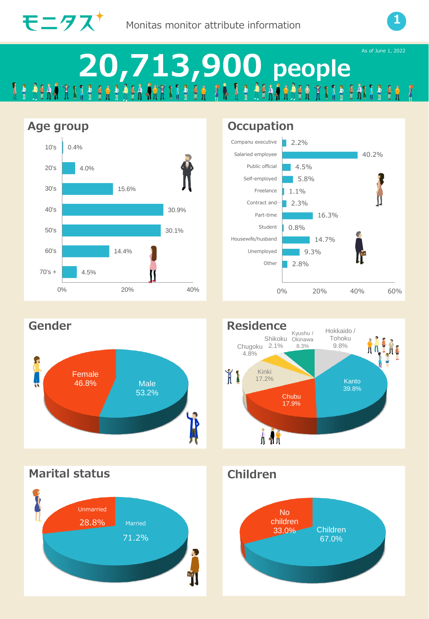



X

# **20,713,900 people**











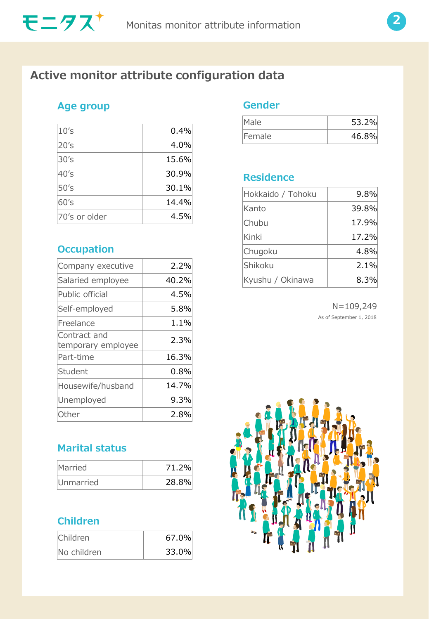

## **Active monitor attribute configuration data**

#### **Age group**

| 10's          | 0.4%  |
|---------------|-------|
| 20's          | 4.0%  |
| 30's          | 15.6% |
| 40's          | 30.9% |
| 50's          | 30.1% |
| 60's          | 14.4% |
| 70's or older | 4.5%  |

### **Occupation**

| Company executive                  | 2.2%  |
|------------------------------------|-------|
| Salaried employee                  | 40.2% |
| Public official                    | 4.5%  |
| Self-employed                      | 5.8%  |
| Freelance                          | 1.1%  |
| Contract and<br>temporary employee | 2.3%  |
| Part-time                          | 16.3% |
| Student                            | 0.8%  |
| Housewife/husband                  | 14.7% |
| Unemployed                         | 9.3%  |
| Other                              | 2.8%  |
|                                    |       |

## **Marital status**

| <b>Married</b> | 71.2% |
|----------------|-------|
| Unmarried      | 28.8% |

### **Children**

| Children    | 67.0% |
|-------------|-------|
| No children | 33.0% |

#### **Gender**

| Male   | 53.2% |
|--------|-------|
| Female | 46.8% |

#### **Residence**

| Hokkaido / Tohoku | 9.8%  |
|-------------------|-------|
| Kanto             | 39.8% |
| Chubu             | 17.9% |
| Kinki             | 17.2% |
| Chugoku           | 4.8%  |
| Shikoku           | 2.1%  |
| Kyushu / Okinawa  | 8.3%  |

N=109,249 As of September 1, 2018

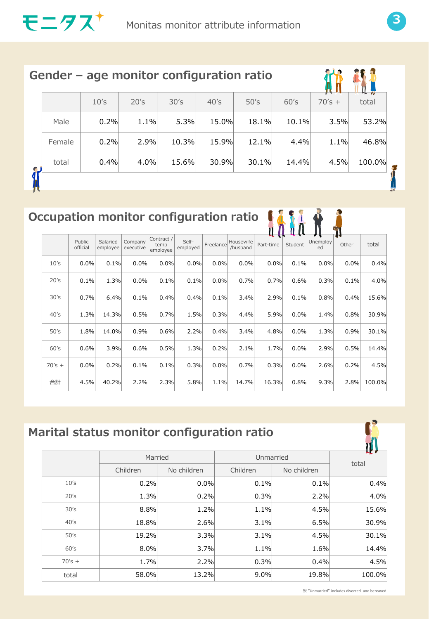

|        | Gender – age monitor configuration ratio |      |       |       |       |       |          |        |
|--------|------------------------------------------|------|-------|-------|-------|-------|----------|--------|
|        | 10's                                     | 20's | 30's  | 40's  | 50's  | 60's  | $70's +$ | total  |
| Male   | 0.2%                                     | 1.1% | 5.3%  | 15.0% | 18.1% | 10.1% | 3.5%     | 53.2%  |
| Female | 0.2%                                     | 2.9% | 10.3% | 15.9% | 12.1% | 4.4%  | 1.1%     | 46.8%  |
| total  | 0.4%                                     | 4.0% | 15.6% | 30.9% | 30.1% | 14.4% | 4.5%     | 100.0% |
|        |                                          |      |       |       |       |       |          |        |

## **Occupation monitor configuration ratio**  $\begin{array}{ccc} \bullet & \bullet & \bullet \\ \bullet & \bullet & \bullet \end{array}$

|          |                    |                      |                      |                                |                   |           |                       |           |         |                | Æл    |        |
|----------|--------------------|----------------------|----------------------|--------------------------------|-------------------|-----------|-----------------------|-----------|---------|----------------|-------|--------|
|          | Public<br>official | Salaried<br>employee | Company<br>executive | Contract /<br>temp<br>employee | Self-<br>employed | Freelance | Housewife<br>/husband | Part-time | Student | Unemploy<br>ed | Other | total  |
| 10's     | 0.0%               | 0.1%                 | 0.0%                 | 0.0%                           | 0.0%              | 0.0%      | 0.0%                  | 0.0%      | 0.1%    | 0.0%           | 0.0%  | 0.4%   |
| 20's     | 0.1%               | 1.3%                 | 0.0%                 | 0.1%                           | 0.1%              | 0.0%      | 0.7%                  | 0.7%      | 0.6%    | 0.3%           | 0.1%  | 4.0%   |
| 30's     | 0.7%               | 6.4%                 | 0.1%                 | 0.4%                           | 0.4%              | 0.1%      | 3.4%                  | 2.9%      | 0.1%    | 0.8%           | 0.4%  | 15.6%  |
| 40's     | 1.3%               | 14.3%                | 0.5%                 | 0.7%                           | 1.5%              | 0.3%      | 4.4%                  | 5.9%      | 0.0%    | 1.4%           | 0.8%  | 30.9%  |
| 50's     | 1.8%               | 14.0%                | 0.9%                 | 0.6%                           | 2.2%              | 0.4%      | 3.4%                  | 4.8%      | 0.0%    | 1.3%           | 0.9%  | 30.1%  |
| 60's     | 0.6%               | 3.9%                 | 0.6%                 | 0.5%                           | 1.3%              | 0.2%      | 2.1%                  | 1.7%      | 0.0%    | 2.9%           | 0.5%  | 14.4%  |
| $70's +$ | 0.0%               | 0.2%                 | 0.1%                 | 0.1%                           | 0.3%              | 0.0%      | 0.7%                  | 0.3%      | 0.0%    | 2.6%           | 0.2%  | 4.5%   |
| 合計       | 4.5%               | 40.2%                | 2.2%                 | 2.3%                           | 5.8%              | 1.1%      | 14.7%                 | 16.3%     | 0.8%    | 9.3%           | 2.8%  | 100.0% |

## **Marital status monitor configuration ratio**



※ "Unmarried" includes divorced and bereaved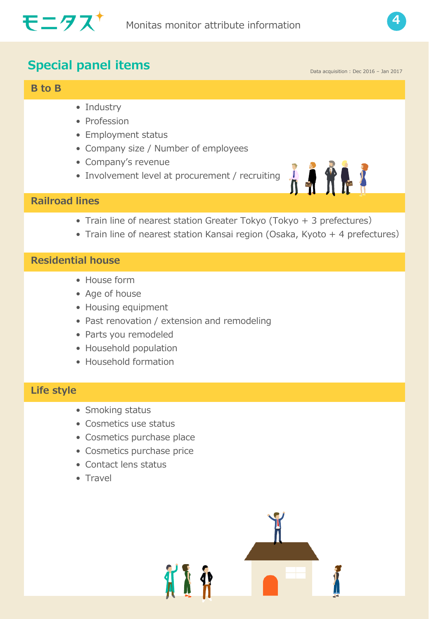



## **Special panel items**

#### **B to B**

- Industry
- Profession
- Employment status
- Company size / Number of employees
- Company's revenue
- Involvement level at procurement / recruiting



Data acquisition : Dec 2016 – Jan 2017

#### **Railroad lines**

- Train line of nearest station Greater Tokyo (Tokyo + 3 prefectures)
- Train line of nearest station Kansai region (Osaka, Kyoto + 4 prefectures)

#### **Residential house**

- House form
- Age of house
- Housing equipment
- Past renovation / extension and remodeling
- Parts you remodeled
- Household population
- Household formation

#### **Life style**

- Smoking status
- Cosmetics use status
- Cosmetics purchase place
- Cosmetics purchase price
- Contact lens status
- Travel